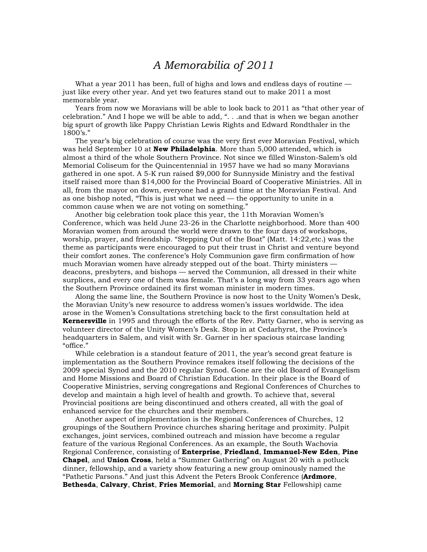## *A Memorabilia of 2011*

What a year 2011 has been, full of highs and lows and endless days of routine just like every other year. And yet two features stand out to make 2011 a most memorable year.

 Years from now we Moravians will be able to look back to 2011 as "that other year of celebration." And I hope we will be able to add, ". . .and that is when we began another big spurt of growth like Pappy Christian Lewis Rights and Edward Rondthaler in the 1800's."

 The year's big celebration of course was the very first ever Moravian Festival, which was held September 10 at **New Philadelphia**. More than 5,000 attended, which is almost a third of the whole Southern Province. Not since we filled Winston-Salem's old Memorial Coliseum for the Quincentennial in 1957 have we had so many Moravians gathered in one spot. A 5-K run raised \$9,000 for Sunnyside Ministry and the festival itself raised more than \$14,000 for the Provincial Board of Cooperative Ministries. All in all, from the mayor on down, everyone had a grand time at the Moravian Festival. And as one bishop noted, "This is just what we need — the opportunity to unite in a common cause when we are not voting on something."

 Another big celebration took place this year, the 11th Moravian Women's Conference, which was held June 23-26 in the Charlotte neighborhood. More than 400 Moravian women from around the world were drawn to the four days of workshops, worship, prayer, and friendship. "Stepping Out of the Boat" (Matt. 14:22,etc.) was the theme as participants were encouraged to put their trust in Christ and venture beyond their comfort zones. The conference's Holy Communion gave firm confirmation of how much Moravian women have already stepped out of the boat. Thirty ministers deacons, presbyters, and bishops — served the Communion, all dressed in their white surplices, and every one of them was female. That's a long way from 33 years ago when the Southern Province ordained its first woman minister in modern times.

 Along the same line, the Southern Province is now host to the Unity Women's Desk, the Moravian Unity's new resource to address women's issues worldwide. The idea arose in the Women's Consultations stretching back to the first consultation held at **Kernersville** in 1995 and through the efforts of the Rev. Patty Garner, who is serving as volunteer director of the Unity Women's Desk. Stop in at Cedarhyrst, the Province's headquarters in Salem, and visit with Sr. Garner in her spacious staircase landing "office."

 While celebration is a standout feature of 2011, the year's second great feature is implementation as the Southern Province remakes itself following the decisions of the 2009 special Synod and the 2010 regular Synod. Gone are the old Board of Evangelism and Home Missions and Board of Christian Education. In their place is the Board of Cooperative Ministries, serving congregations and Regional Conferences of Churches to develop and maintain a high level of health and growth. To achieve that, several Provincial positions are being discontinued and others created, all with the goal of enhanced service for the churches and their members.

 Another aspect of implementation is the Regional Conferences of Churches, 12 groupings of the Southern Province churches sharing heritage and proximity. Pulpit exchanges, joint services, combined outreach and mission have become a regular feature of the various Regional Conferences. As an example, the South Wachovia Regional Conference, consisting of **Enterprise**, **Friedland**, **Immanuel-New Eden**, **Pine Chapel**, and **Union Cross**, held a "Summer Gathering" on August 20 with a potluck dinner, fellowship, and a variety show featuring a new group ominously named the "Pathetic Parsons." And just this Advent the Peters Brook Conference (**Ardmore**, **Bethesda**, **Calvary**, **Christ**, **Fries Memorial**, and **Morning Star** Fellowship) came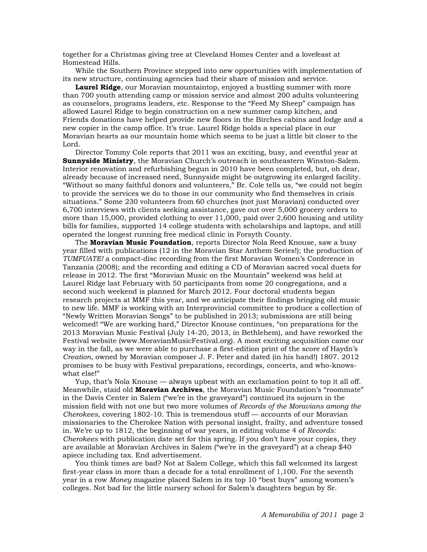together for a Christmas giving tree at Cleveland Homes Center and a lovefeast at Homestead Hills.

 While the Southern Province stepped into new opportunities with implementation of its new structure, continuing agencies had their share of mission and service.

**Laurel Ridge**, our Moravian mountaintop, enjoyed a bustling summer with more than 700 youth attending camp or mission service and almost 200 adults volunteering as counselors, programs leaders, etc. Response to the "Feed My Sheep" campaign has allowed Laurel Ridge to begin construction on a new summer camp kitchen, and Friends donations have helped provide new floors in the Birches cabins and lodge and a new copier in the camp office. It's true. Laurel Ridge holds a special place in our Moravian hearts as our mountain home which seems to be just a little bit closer to the Lord.

 Director Tommy Cole reports that 2011 was an exciting, busy, and eventful year at **Sunnyside Ministry**, the Moravian Church's outreach in southeastern Winston-Salem. Interior renovation and refurbishing begun in 2010 have been completed, but, oh dear, already because of increased need, Sunnyside might be outgrowing its enlarged facility. "Without so many faithful donors and volunteers," Br. Cole tells us, "we could not begin to provide the services we do to those in our community who find themselves in crisis situations." Some 230 volunteers from 60 churches (not just Moravian) conducted over 6,700 interviews with clients seeking assistance, gave out over 5,000 grocery orders to more than 15,000, provided clothing to over 11,000, paid over 2,600 housing and utility bills for families, supported 14 college students with scholarships and laptops, and still operated the longest running free medical clinic in Forsyth County.

 The **Moravian Music Foundation**, reports Director Nola Reed Knouse, saw a busy year filled with publications (12 in the Moravian Star Anthem Series!); the production of *TUMFUATE!* a compact-disc recording from the first Moravian Women's Conference in Tanzania (2008); and the recording and editing a CD of Moravian sacred vocal duets for release in 2012. The first "Moravian Music on the Mountain" weekend was held at Laurel Ridge last February with 50 participants from some 20 congregations, and a second such weekend is planned for March 2012. Four doctoral students began research projects at MMF this year, and we anticipate their findings bringing old music to new life. MMF is working with an Interprovincial committee to produce a collection of "Newly Written Moravian Songs" to be published in 2013; submissions are still being welcomed! "We are working hard," Director Knouse continues, "on preparations for the 2013 Moravian Music Festival (July 14-20, 2013, in Bethlehem), and have reworked the Festival website (www.MoravianMusicFestival.org). A most exciting acquisition came our way in the fall, as we were able to purchase a first-edition print of the score of Haydn's *Creation*, owned by Moravian composer J. F. Peter and dated (in his hand!) 1807. 2012 promises to be busy with Festival preparations, recordings, concerts, and who-knowswhat else!"

 Yup, that's Nola Knouse — always upbeat with an exclamation point to top it all off. Meanwhile, staid old **Moravian Archives**, the Moravian Music Foundation's "roommate" in the Davis Center in Salem ("we're in the graveyard") continued its sojourn in the mission field with not one but two more volumes of *Records of the Moravians among the Cherokees*, covering 1802-10. This is tremendous stuff — accounts of our Moravian missionaries to the Cherokee Nation with personal insight, frailty, and adventure tossed in. We're up to 1812, the beginning of war years, in editing volume 4 of *Records: Cherokees* with publication date set for this spring. If you don't have your copies, they are available at Moravian Archives in Salem ("we're in the graveyard") at a cheap \$40 apiece including tax. End advertisement.

 You think times are bad? Not at Salem College, which this fall welcomed its largest first-year class in more than a decade for a total enrollment of 1,100. For the seventh year in a row *Money* magazine placed Salem in its top 10 "best buys" among women's colleges. Not bad for the little nursery school for Salem's daughters begun by Sr.